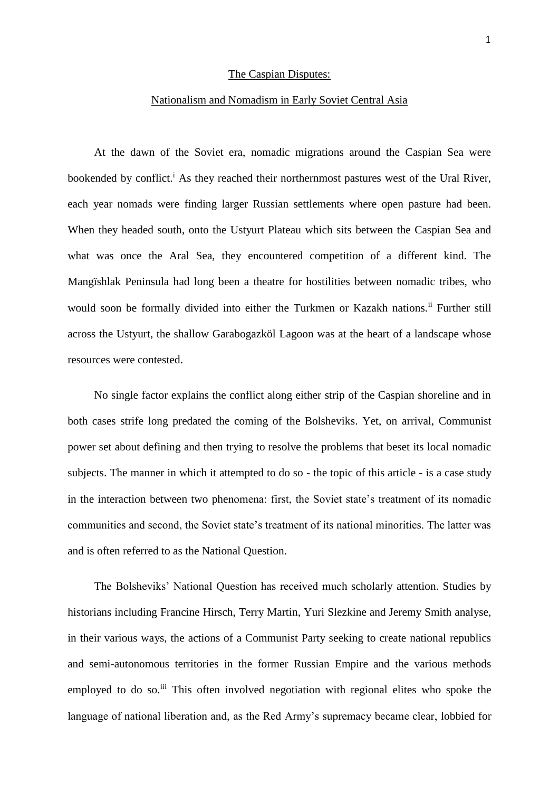### The Caspian Disputes:

#### Nationalism and Nomadism in Early Soviet Central Asia

At the dawn of the Soviet era, nomadic migrations around the Caspian Sea were bookended by conflict.<sup>i</sup> As they reached their northernmost pastures west of the Ural River, each year nomads were finding larger Russian settlements where open pasture had been. When they headed south, onto the Ustyurt Plateau which sits between the Caspian Sea and what was once the Aral Sea, they encountered competition of a different kind. The Mangïshlak Peninsula had long been a theatre for hostilities between nomadic tribes, who would soon be formally divided into either the Turkmen or Kazakh nations.<sup>ii</sup> Further still across the Ustyurt, the shallow Garabogazköl Lagoon was at the heart of a landscape whose resources were contested.

No single factor explains the conflict along either strip of the Caspian shoreline and in both cases strife long predated the coming of the Bolsheviks. Yet, on arrival, Communist power set about defining and then trying to resolve the problems that beset its local nomadic subjects. The manner in which it attempted to do so - the topic of this article - is a case study in the interaction between two phenomena: first, the Soviet state's treatment of its nomadic communities and second, the Soviet state's treatment of its national minorities. The latter was and is often referred to as the National Question.

The Bolsheviks' National Question has received much scholarly attention. Studies by historians including Francine Hirsch, Terry Martin, Yuri Slezkine and Jeremy Smith analyse, in their various ways, the actions of a Communist Party seeking to create national republics and semi-autonomous territories in the former Russian Empire and the various methods employed to do so.<sup>iii</sup> This often involved negotiation with regional elites who spoke the language of national liberation and, as the Red Army's supremacy became clear, lobbied for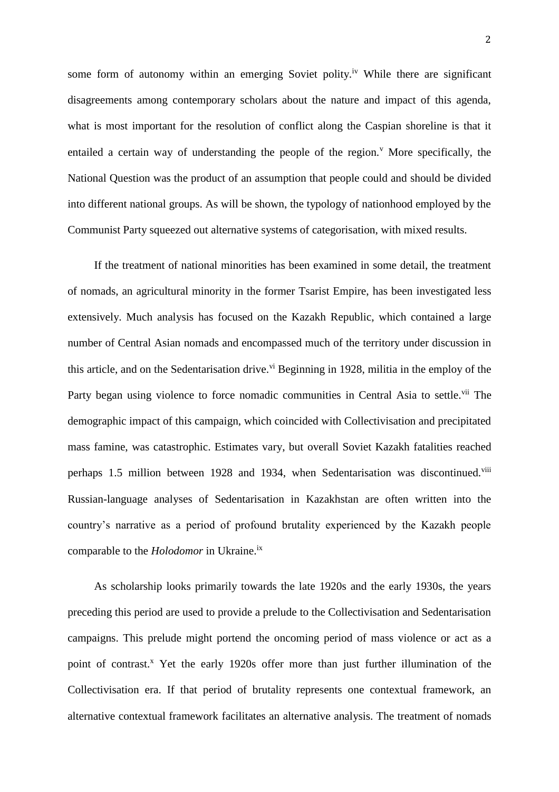some form of autonomy within an emerging Soviet polity.<sup>iv</sup> While there are significant disagreements among contemporary scholars about the nature and impact of this agenda, what is most important for the resolution of conflict along the Caspian shoreline is that it entailed a certain way of understanding the people of the region.<sup> *More specifically, the</sup>* National Question was the product of an assumption that people could and should be divided into different national groups. As will be shown, the typology of nationhood employed by the Communist Party squeezed out alternative systems of categorisation, with mixed results.

If the treatment of national minorities has been examined in some detail, the treatment of nomads, an agricultural minority in the former Tsarist Empire, has been investigated less extensively. Much analysis has focused on the Kazakh Republic, which contained a large number of Central Asian nomads and encompassed much of the territory under discussion in this article, and on the Sedentarisation drive.<sup>vi</sup> Beginning in 1928, militia in the employ of the Party began using violence to force nomadic communities in Central Asia to settle.<sup>vii</sup> The demographic impact of this campaign, which coincided with Collectivisation and precipitated mass famine, was catastrophic. Estimates vary, but overall Soviet Kazakh fatalities reached perhaps 1.5 million between 1928 and 1934, when Sedentarisation was discontinued.<sup>viii</sup> Russian-language analyses of Sedentarisation in Kazakhstan are often written into the country's narrative as a period of profound brutality experienced by the Kazakh people comparable to the *Holodomor* in Ukraine. ix

As scholarship looks primarily towards the late 1920s and the early 1930s, the years preceding this period are used to provide a prelude to the Collectivisation and Sedentarisation campaigns. This prelude might portend the oncoming period of mass violence or act as a point of contrast.<sup>x</sup> Yet the early 1920s offer more than just further illumination of the Collectivisation era. If that period of brutality represents one contextual framework, an alternative contextual framework facilitates an alternative analysis. The treatment of nomads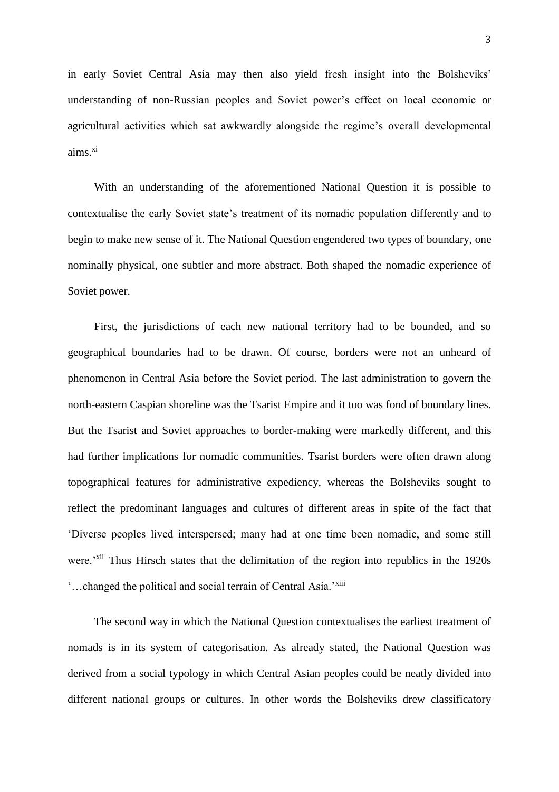in early Soviet Central Asia may then also yield fresh insight into the Bolsheviks' understanding of non-Russian peoples and Soviet power's effect on local economic or agricultural activities which sat awkwardly alongside the regime's overall developmental  $aims<sup>xi</sup>$ 

With an understanding of the aforementioned National Question it is possible to contextualise the early Soviet state's treatment of its nomadic population differently and to begin to make new sense of it. The National Question engendered two types of boundary, one nominally physical, one subtler and more abstract. Both shaped the nomadic experience of Soviet power.

First, the jurisdictions of each new national territory had to be bounded, and so geographical boundaries had to be drawn. Of course, borders were not an unheard of phenomenon in Central Asia before the Soviet period. The last administration to govern the north-eastern Caspian shoreline was the Tsarist Empire and it too was fond of boundary lines. But the Tsarist and Soviet approaches to border-making were markedly different, and this had further implications for nomadic communities. Tsarist borders were often drawn along topographical features for administrative expediency, whereas the Bolsheviks sought to reflect the predominant languages and cultures of different areas in spite of the fact that 'Diverse peoples lived interspersed; many had at one time been nomadic, and some still were.'<sup>xii</sup> Thus Hirsch states that the delimitation of the region into republics in the 1920s '…changed the political and social terrain of Central Asia.'xiii

The second way in which the National Question contextualises the earliest treatment of nomads is in its system of categorisation. As already stated, the National Question was derived from a social typology in which Central Asian peoples could be neatly divided into different national groups or cultures. In other words the Bolsheviks drew classificatory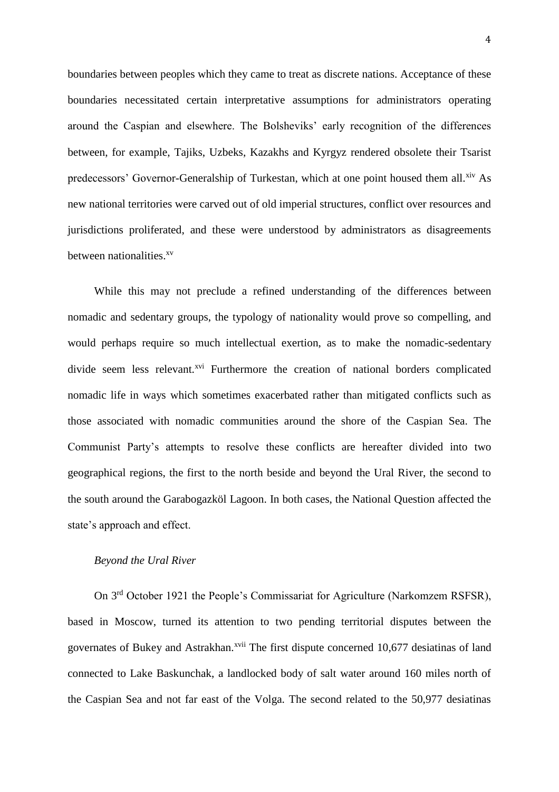boundaries between peoples which they came to treat as discrete nations. Acceptance of these boundaries necessitated certain interpretative assumptions for administrators operating around the Caspian and elsewhere. The Bolsheviks' early recognition of the differences between, for example, Tajiks, Uzbeks, Kazakhs and Kyrgyz rendered obsolete their Tsarist predecessors' Governor-Generalship of Turkestan, which at one point housed them all.<sup>xiv</sup> As new national territories were carved out of old imperial structures, conflict over resources and jurisdictions proliferated, and these were understood by administrators as disagreements between nationalities.<sup>xv</sup>

While this may not preclude a refined understanding of the differences between nomadic and sedentary groups, the typology of nationality would prove so compelling, and would perhaps require so much intellectual exertion, as to make the nomadic-sedentary divide seem less relevant.<sup>xvi</sup> Furthermore the creation of national borders complicated nomadic life in ways which sometimes exacerbated rather than mitigated conflicts such as those associated with nomadic communities around the shore of the Caspian Sea. The Communist Party's attempts to resolve these conflicts are hereafter divided into two geographical regions, the first to the north beside and beyond the Ural River, the second to the south around the Garabogazköl Lagoon. In both cases, the National Question affected the state's approach and effect.

# *Beyond the Ural River*

On 3rd October 1921 the People's Commissariat for Agriculture (Narkomzem RSFSR), based in Moscow, turned its attention to two pending territorial disputes between the governates of Bukey and Astrakhan.<sup>xvii</sup> The first dispute concerned 10,677 desiatinas of land connected to Lake Baskunchak, a landlocked body of salt water around 160 miles north of the Caspian Sea and not far east of the Volga. The second related to the 50,977 desiatinas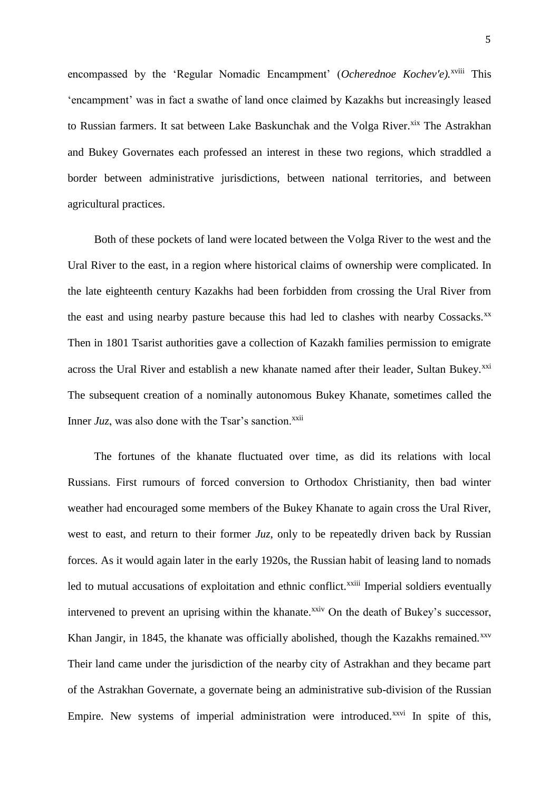encompassed by the 'Regular Nomadic Encampment' (Ocherednoe Kochev'e).<sup>xviii</sup> This 'encampment' was in fact a swathe of land once claimed by Kazakhs but increasingly leased to Russian farmers. It sat between Lake Baskunchak and the Volga River.<sup>xix</sup> The Astrakhan and Bukey Governates each professed an interest in these two regions, which straddled a border between administrative jurisdictions, between national territories, and between agricultural practices.

Both of these pockets of land were located between the Volga River to the west and the Ural River to the east, in a region where historical claims of ownership were complicated. In the late eighteenth century Kazakhs had been forbidden from crossing the Ural River from the east and using nearby pasture because this had led to clashes with nearby Cossacks.<sup>xx</sup> Then in 1801 Tsarist authorities gave a collection of Kazakh families permission to emigrate across the Ural River and establish a new khanate named after their leader, Sultan Bukey.<sup>xxi</sup> The subsequent creation of a nominally autonomous Bukey Khanate, sometimes called the Inner  $Juz$ , was also done with the Tsar's sanction.<sup>xxii</sup>

The fortunes of the khanate fluctuated over time, as did its relations with local Russians. First rumours of forced conversion to Orthodox Christianity, then bad winter weather had encouraged some members of the Bukey Khanate to again cross the Ural River, west to east, and return to their former *Juz*, only to be repeatedly driven back by Russian forces. As it would again later in the early 1920s, the Russian habit of leasing land to nomads led to mutual accusations of exploitation and ethnic conflict.<sup>xxiii</sup> Imperial soldiers eventually intervened to prevent an uprising within the khanate.<sup>xxiv</sup> On the death of Bukey's successor, Khan Jangir, in 1845, the khanate was officially abolished, though the Kazakhs remained.<sup>xxv</sup> Their land came under the jurisdiction of the nearby city of Astrakhan and they became part of the Astrakhan Governate, a governate being an administrative sub-division of the Russian Empire. New systems of imperial administration were introduced.<sup>xxvi</sup> In spite of this,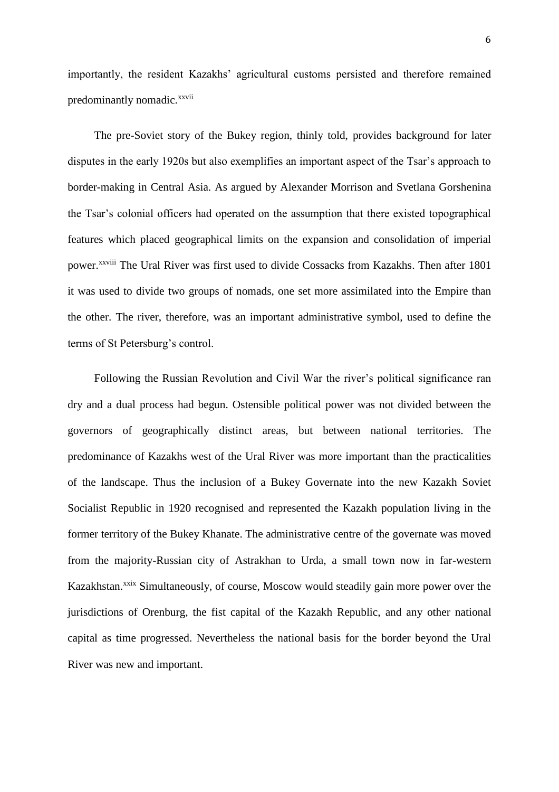importantly, the resident Kazakhs' agricultural customs persisted and therefore remained predominantly nomadic.<sup>xxvii</sup>

The pre-Soviet story of the Bukey region, thinly told, provides background for later disputes in the early 1920s but also exemplifies an important aspect of the Tsar's approach to border-making in Central Asia. As argued by Alexander Morrison and Svetlana Gorshenina the Tsar's colonial officers had operated on the assumption that there existed topographical features which placed geographical limits on the expansion and consolidation of imperial power.<sup>xxviii</sup> The Ural River was first used to divide Cossacks from Kazakhs. Then after 1801 it was used to divide two groups of nomads, one set more assimilated into the Empire than the other. The river, therefore, was an important administrative symbol, used to define the terms of St Petersburg's control.

Following the Russian Revolution and Civil War the river's political significance ran dry and a dual process had begun. Ostensible political power was not divided between the governors of geographically distinct areas, but between national territories. The predominance of Kazakhs west of the Ural River was more important than the practicalities of the landscape. Thus the inclusion of a Bukey Governate into the new Kazakh Soviet Socialist Republic in 1920 recognised and represented the Kazakh population living in the former territory of the Bukey Khanate. The administrative centre of the governate was moved from the majority-Russian city of Astrakhan to Urda, a small town now in far-western Kazakhstan.<sup>xxix</sup> Simultaneously, of course, Moscow would steadily gain more power over the jurisdictions of Orenburg, the fist capital of the Kazakh Republic, and any other national capital as time progressed. Nevertheless the national basis for the border beyond the Ural River was new and important.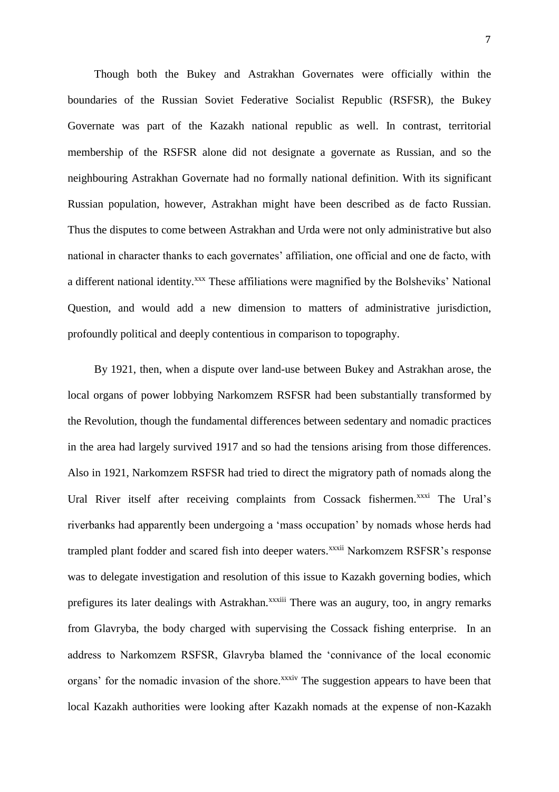Though both the Bukey and Astrakhan Governates were officially within the boundaries of the Russian Soviet Federative Socialist Republic (RSFSR), the Bukey Governate was part of the Kazakh national republic as well. In contrast, territorial membership of the RSFSR alone did not designate a governate as Russian, and so the neighbouring Astrakhan Governate had no formally national definition. With its significant Russian population, however, Astrakhan might have been described as de facto Russian. Thus the disputes to come between Astrakhan and Urda were not only administrative but also national in character thanks to each governates' affiliation, one official and one de facto, with a different national identity.<sup>xxx</sup> These affiliations were magnified by the Bolsheviks' National Question, and would add a new dimension to matters of administrative jurisdiction, profoundly political and deeply contentious in comparison to topography.

By 1921, then, when a dispute over land-use between Bukey and Astrakhan arose, the local organs of power lobbying Narkomzem RSFSR had been substantially transformed by the Revolution, though the fundamental differences between sedentary and nomadic practices in the area had largely survived 1917 and so had the tensions arising from those differences. Also in 1921, Narkomzem RSFSR had tried to direct the migratory path of nomads along the Ural River itself after receiving complaints from Cossack fishermen.<sup>xxxi</sup> The Ural's riverbanks had apparently been undergoing a 'mass occupation' by nomads whose herds had trampled plant fodder and scared fish into deeper waters.<sup>xxxii</sup> Narkomzem RSFSR's response was to delegate investigation and resolution of this issue to Kazakh governing bodies, which prefigures its later dealings with Astrakhan.<sup>xxxiii</sup> There was an augury, too, in angry remarks from Glavryba, the body charged with supervising the Cossack fishing enterprise. In an address to Narkomzem RSFSR, Glavryba blamed the 'connivance of the local economic organs' for the nomadic invasion of the shore.<sup>xxxiv</sup> The suggestion appears to have been that local Kazakh authorities were looking after Kazakh nomads at the expense of non-Kazakh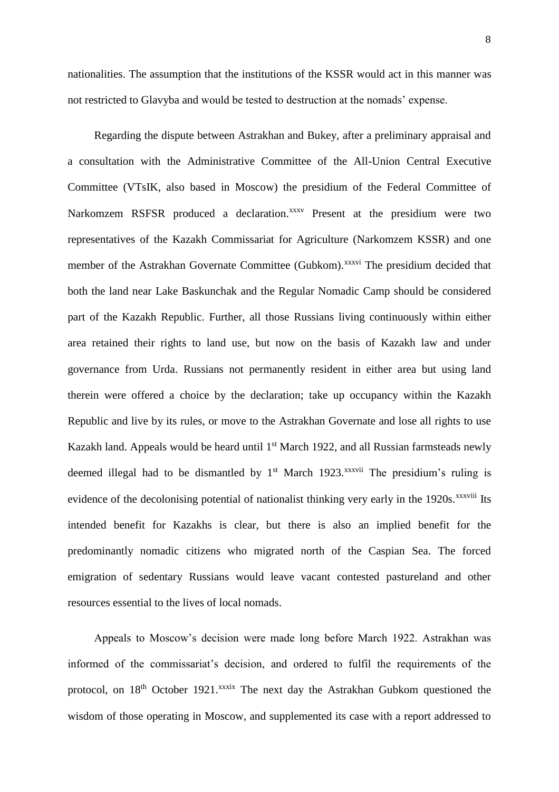nationalities. The assumption that the institutions of the KSSR would act in this manner was not restricted to Glavyba and would be tested to destruction at the nomads' expense.

Regarding the dispute between Astrakhan and Bukey, after a preliminary appraisal and a consultation with the Administrative Committee of the All-Union Central Executive Committee (VTsIK, also based in Moscow) the presidium of the Federal Committee of Narkomzem RSFSR produced a declaration.<sup>xxxv</sup> Present at the presidium were two representatives of the Kazakh Commissariat for Agriculture (Narkomzem KSSR) and one member of the Astrakhan Governate Committee (Gubkom).<sup>xxxvi</sup> The presidium decided that both the land near Lake Baskunchak and the Regular Nomadic Camp should be considered part of the Kazakh Republic. Further, all those Russians living continuously within either area retained their rights to land use, but now on the basis of Kazakh law and under governance from Urda. Russians not permanently resident in either area but using land therein were offered a choice by the declaration; take up occupancy within the Kazakh Republic and live by its rules, or move to the Astrakhan Governate and lose all rights to use Kazakh land. Appeals would be heard until 1<sup>st</sup> March 1922, and all Russian farmsteads newly deemed illegal had to be dismantled by  $1<sup>st</sup>$  March 1923.<sup>xxxvii</sup> The presidium's ruling is evidence of the decolonising potential of nationalist thinking very early in the 1920s.<sup>xxxviii</sup> Its intended benefit for Kazakhs is clear, but there is also an implied benefit for the predominantly nomadic citizens who migrated north of the Caspian Sea. The forced emigration of sedentary Russians would leave vacant contested pastureland and other resources essential to the lives of local nomads.

Appeals to Moscow's decision were made long before March 1922. Astrakhan was informed of the commissariat's decision, and ordered to fulfil the requirements of the protocol, on 18<sup>th</sup> October 1921.<sup>xxxix</sup> The next day the Astrakhan Gubkom questioned the wisdom of those operating in Moscow, and supplemented its case with a report addressed to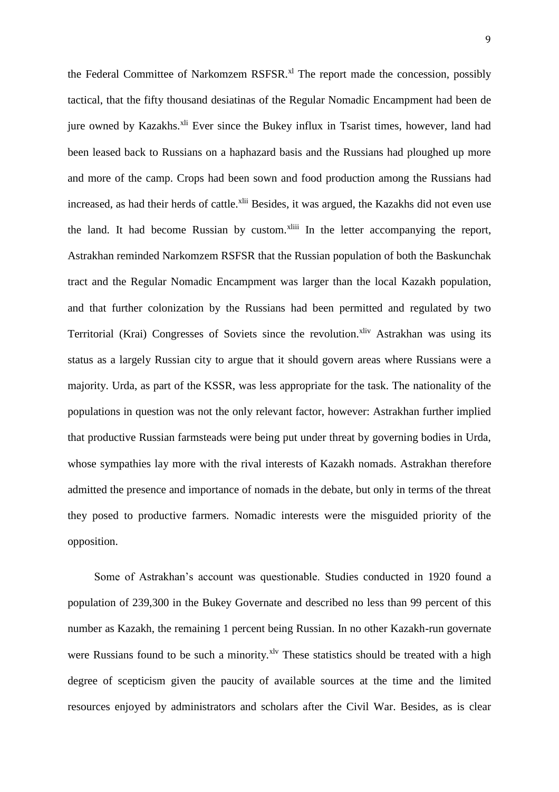the Federal Committee of Narkomzem RSFSR.<sup>xl</sup> The report made the concession, possibly tactical, that the fifty thousand desiatinas of the Regular Nomadic Encampment had been de jure owned by Kazakhs.<sup>xli</sup> Ever since the Bukey influx in Tsarist times, however, land had been leased back to Russians on a haphazard basis and the Russians had ploughed up more and more of the camp. Crops had been sown and food production among the Russians had increased, as had their herds of cattle.<sup>xlii</sup> Besides, it was argued, the Kazakhs did not even use the land. It had become Russian by custom.<sup>xliii</sup> In the letter accompanying the report, Astrakhan reminded Narkomzem RSFSR that the Russian population of both the Baskunchak tract and the Regular Nomadic Encampment was larger than the local Kazakh population, and that further colonization by the Russians had been permitted and regulated by two Territorial (Krai) Congresses of Soviets since the revolution.<sup>xliv</sup> Astrakhan was using its status as a largely Russian city to argue that it should govern areas where Russians were a majority. Urda, as part of the KSSR, was less appropriate for the task. The nationality of the populations in question was not the only relevant factor, however: Astrakhan further implied that productive Russian farmsteads were being put under threat by governing bodies in Urda, whose sympathies lay more with the rival interests of Kazakh nomads. Astrakhan therefore admitted the presence and importance of nomads in the debate, but only in terms of the threat they posed to productive farmers. Nomadic interests were the misguided priority of the opposition.

Some of Astrakhan's account was questionable. Studies conducted in 1920 found a population of 239,300 in the Bukey Governate and described no less than 99 percent of this number as Kazakh, the remaining 1 percent being Russian. In no other Kazakh-run governate were Russians found to be such a minority.<sup>xlv</sup> These statistics should be treated with a high degree of scepticism given the paucity of available sources at the time and the limited resources enjoyed by administrators and scholars after the Civil War. Besides, as is clear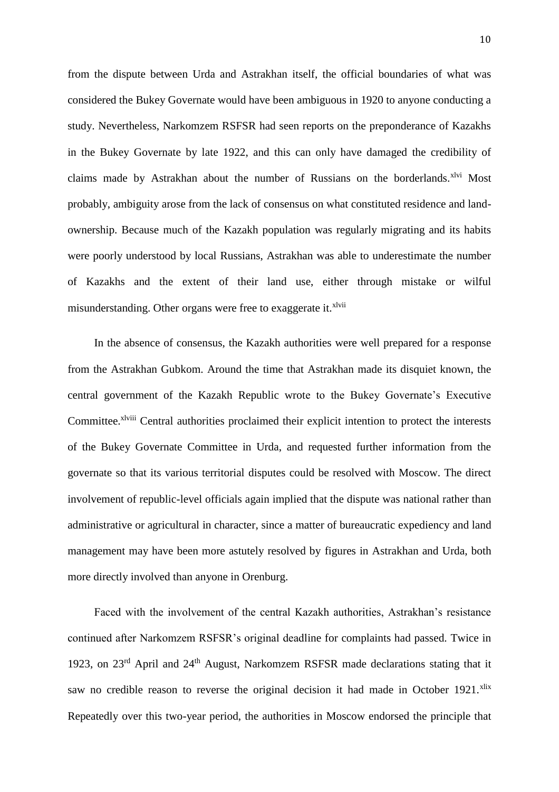from the dispute between Urda and Astrakhan itself, the official boundaries of what was considered the Bukey Governate would have been ambiguous in 1920 to anyone conducting a study. Nevertheless, Narkomzem RSFSR had seen reports on the preponderance of Kazakhs in the Bukey Governate by late 1922, and this can only have damaged the credibility of claims made by Astrakhan about the number of Russians on the borderlands.<sup>xlvi</sup> Most probably, ambiguity arose from the lack of consensus on what constituted residence and landownership. Because much of the Kazakh population was regularly migrating and its habits were poorly understood by local Russians, Astrakhan was able to underestimate the number of Kazakhs and the extent of their land use, either through mistake or wilful misunderstanding. Other organs were free to exaggerate it.<sup>xlvii</sup>

In the absence of consensus, the Kazakh authorities were well prepared for a response from the Astrakhan Gubkom. Around the time that Astrakhan made its disquiet known, the central government of the Kazakh Republic wrote to the Bukey Governate's Executive Committee.<sup>xlviii</sup> Central authorities proclaimed their explicit intention to protect the interests of the Bukey Governate Committee in Urda, and requested further information from the governate so that its various territorial disputes could be resolved with Moscow. The direct involvement of republic-level officials again implied that the dispute was national rather than administrative or agricultural in character, since a matter of bureaucratic expediency and land management may have been more astutely resolved by figures in Astrakhan and Urda, both more directly involved than anyone in Orenburg.

Faced with the involvement of the central Kazakh authorities, Astrakhan's resistance continued after Narkomzem RSFSR's original deadline for complaints had passed. Twice in 1923, on 23<sup>rd</sup> April and 24<sup>th</sup> August, Narkomzem RSFSR made declarations stating that it saw no credible reason to reverse the original decision it had made in October 1921.<sup>xlix</sup> Repeatedly over this two-year period, the authorities in Moscow endorsed the principle that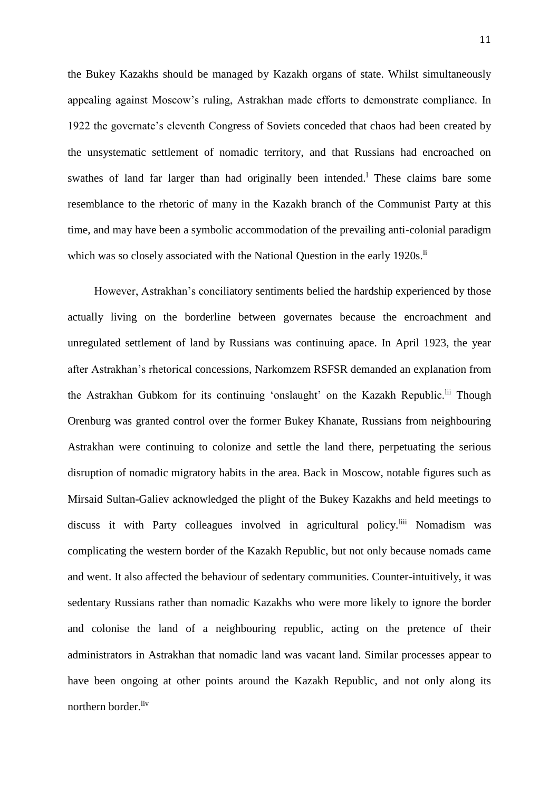the Bukey Kazakhs should be managed by Kazakh organs of state. Whilst simultaneously appealing against Moscow's ruling, Astrakhan made efforts to demonstrate compliance. In 1922 the governate's eleventh Congress of Soviets conceded that chaos had been created by the unsystematic settlement of nomadic territory, and that Russians had encroached on swathes of land far larger than had originally been intended.<sup>1</sup> These claims bare some resemblance to the rhetoric of many in the Kazakh branch of the Communist Party at this time, and may have been a symbolic accommodation of the prevailing anti-colonial paradigm which was so closely associated with the National Question in the early  $1920s$ .<sup>li</sup>

However, Astrakhan's conciliatory sentiments belied the hardship experienced by those actually living on the borderline between governates because the encroachment and unregulated settlement of land by Russians was continuing apace. In April 1923, the year after Astrakhan's rhetorical concessions, Narkomzem RSFSR demanded an explanation from the Astrakhan Gubkom for its continuing 'onslaught' on the Kazakh Republic.<sup>lii</sup> Though Orenburg was granted control over the former Bukey Khanate, Russians from neighbouring Astrakhan were continuing to colonize and settle the land there, perpetuating the serious disruption of nomadic migratory habits in the area. Back in Moscow, notable figures such as Mirsaid Sultan-Galiev acknowledged the plight of the Bukey Kazakhs and held meetings to discuss it with Party colleagues involved in agricultural policy.<sup>liii</sup> Nomadism was complicating the western border of the Kazakh Republic, but not only because nomads came and went. It also affected the behaviour of sedentary communities. Counter-intuitively, it was sedentary Russians rather than nomadic Kazakhs who were more likely to ignore the border and colonise the land of a neighbouring republic, acting on the pretence of their administrators in Astrakhan that nomadic land was vacant land. Similar processes appear to have been ongoing at other points around the Kazakh Republic, and not only along its northern border.<sup>liv</sup>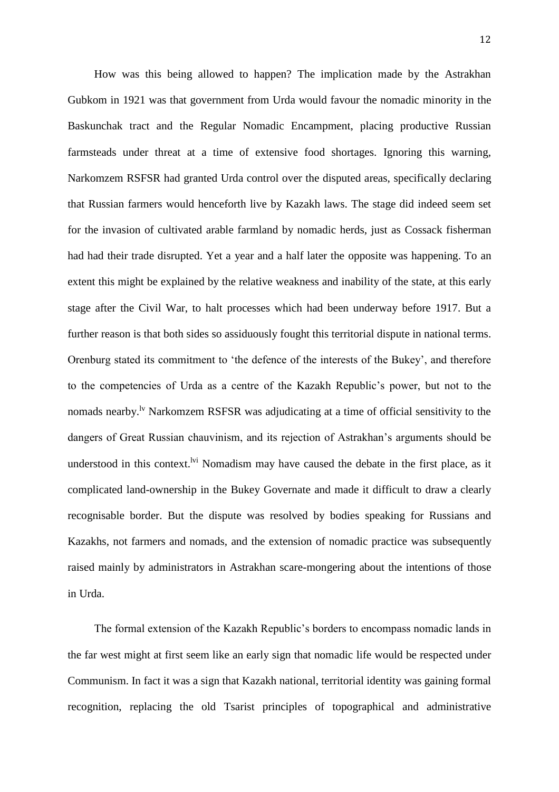How was this being allowed to happen? The implication made by the Astrakhan Gubkom in 1921 was that government from Urda would favour the nomadic minority in the Baskunchak tract and the Regular Nomadic Encampment, placing productive Russian farmsteads under threat at a time of extensive food shortages. Ignoring this warning, Narkomzem RSFSR had granted Urda control over the disputed areas, specifically declaring that Russian farmers would henceforth live by Kazakh laws. The stage did indeed seem set for the invasion of cultivated arable farmland by nomadic herds, just as Cossack fisherman had had their trade disrupted. Yet a year and a half later the opposite was happening. To an extent this might be explained by the relative weakness and inability of the state, at this early stage after the Civil War, to halt processes which had been underway before 1917. But a further reason is that both sides so assiduously fought this territorial dispute in national terms. Orenburg stated its commitment to 'the defence of the interests of the Bukey', and therefore to the competencies of Urda as a centre of the Kazakh Republic's power, but not to the nomads nearby.<sup>1v</sup> Narkomzem RSFSR was adjudicating at a time of official sensitivity to the dangers of Great Russian chauvinism, and its rejection of Astrakhan's arguments should be understood in this context.<sup>Ivi</sup> Nomadism may have caused the debate in the first place, as it complicated land-ownership in the Bukey Governate and made it difficult to draw a clearly recognisable border. But the dispute was resolved by bodies speaking for Russians and Kazakhs, not farmers and nomads, and the extension of nomadic practice was subsequently raised mainly by administrators in Astrakhan scare-mongering about the intentions of those in Urda.

The formal extension of the Kazakh Republic's borders to encompass nomadic lands in the far west might at first seem like an early sign that nomadic life would be respected under Communism. In fact it was a sign that Kazakh national, territorial identity was gaining formal recognition, replacing the old Tsarist principles of topographical and administrative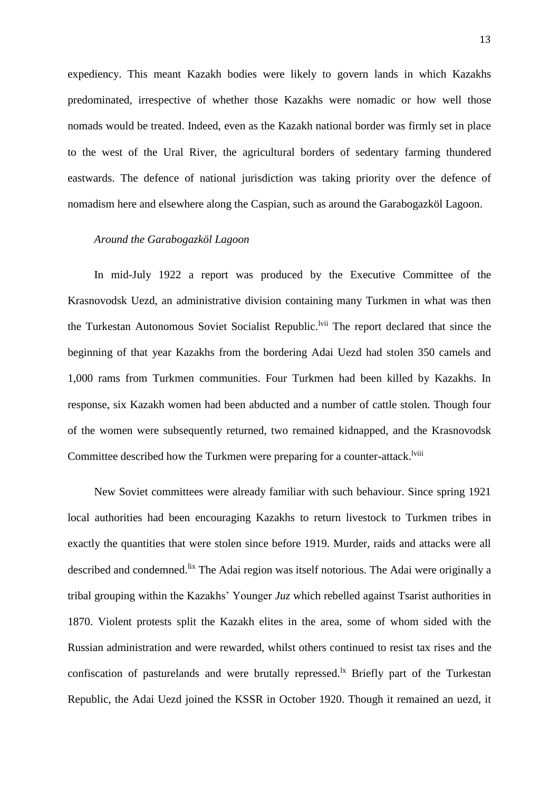expediency. This meant Kazakh bodies were likely to govern lands in which Kazakhs predominated, irrespective of whether those Kazakhs were nomadic or how well those nomads would be treated. Indeed, even as the Kazakh national border was firmly set in place to the west of the Ural River, the agricultural borders of sedentary farming thundered eastwards. The defence of national jurisdiction was taking priority over the defence of nomadism here and elsewhere along the Caspian, such as around the Garabogazköl Lagoon.

### *Around the Garabogazköl Lagoon*

In mid-July 1922 a report was produced by the Executive Committee of the Krasnovodsk Uezd, an administrative division containing many Turkmen in what was then the Turkestan Autonomous Soviet Socialist Republic.<sup>Ivii</sup> The report declared that since the beginning of that year Kazakhs from the bordering Adai Uezd had stolen 350 camels and 1,000 rams from Turkmen communities. Four Turkmen had been killed by Kazakhs. In response, six Kazakh women had been abducted and a number of cattle stolen. Though four of the women were subsequently returned, two remained kidnapped, and the Krasnovodsk Committee described how the Turkmen were preparing for a counter-attack.<sup>lviii</sup>

New Soviet committees were already familiar with such behaviour. Since spring 1921 local authorities had been encouraging Kazakhs to return livestock to Turkmen tribes in exactly the quantities that were stolen since before 1919. Murder, raids and attacks were all described and condemned.<sup>lix</sup> The Adai region was itself notorious. The Adai were originally a tribal grouping within the Kazakhs' Younger *Juz* which rebelled against Tsarist authorities in 1870. Violent protests split the Kazakh elites in the area, some of whom sided with the Russian administration and were rewarded, whilst others continued to resist tax rises and the confiscation of pasturelands and were brutally repressed.<sup>1x</sup> Briefly part of the Turkestan Republic, the Adai Uezd joined the KSSR in October 1920. Though it remained an uezd, it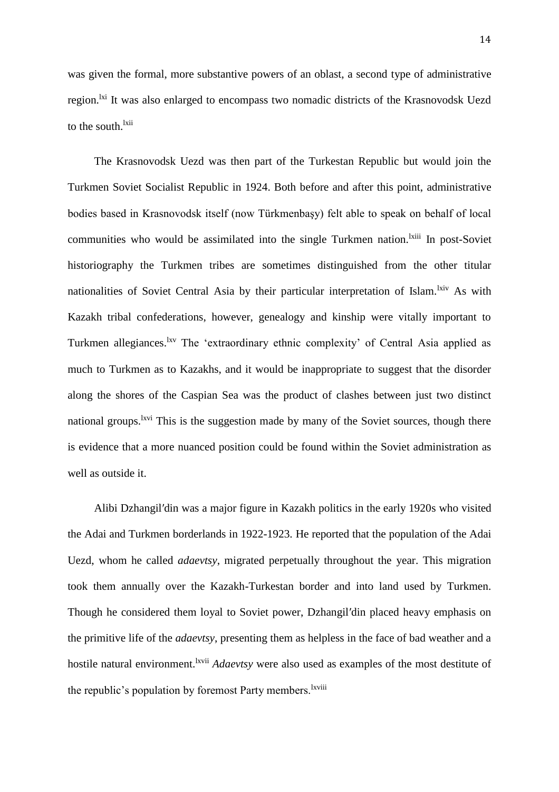was given the formal, more substantive powers of an oblast, a second type of administrative region.<sup>1xi</sup> It was also enlarged to encompass two nomadic districts of the Krasnovodsk Uezd to the south.<sup>lxii</sup>

The Krasnovodsk Uezd was then part of the Turkestan Republic but would join the Turkmen Soviet Socialist Republic in 1924. Both before and after this point, administrative bodies based in Krasnovodsk itself (now Türkmenbaşy) felt able to speak on behalf of local communities who would be assimilated into the single Turkmen nation.<sup>Ixiii</sup> In post-Soviet historiography the Turkmen tribes are sometimes distinguished from the other titular nationalities of Soviet Central Asia by their particular interpretation of Islam.<sup>lxiv</sup> As with Kazakh tribal confederations, however, genealogy and kinship were vitally important to Turkmen allegiances.<sup>lxv</sup> The 'extraordinary ethnic complexity' of Central Asia applied as much to Turkmen as to Kazakhs, and it would be inappropriate to suggest that the disorder along the shores of the Caspian Sea was the product of clashes between just two distinct national groups.<sup>lxvi</sup> This is the suggestion made by many of the Soviet sources, though there is evidence that a more nuanced position could be found within the Soviet administration as well as outside it.

Alibi Dzhangil′din was a major figure in Kazakh politics in the early 1920s who visited the Adai and Turkmen borderlands in 1922-1923. He reported that the population of the Adai Uezd, whom he called *adaevtsy*, migrated perpetually throughout the year. This migration took them annually over the Kazakh-Turkestan border and into land used by Turkmen. Though he considered them loyal to Soviet power, Dzhangil′din placed heavy emphasis on the primitive life of the *adaevtsy*, presenting them as helpless in the face of bad weather and a hostile natural environment.<sup>1xvii</sup> *Adaevtsy* were also used as examples of the most destitute of the republic's population by foremost Party members.<sup>Ixviii</sup>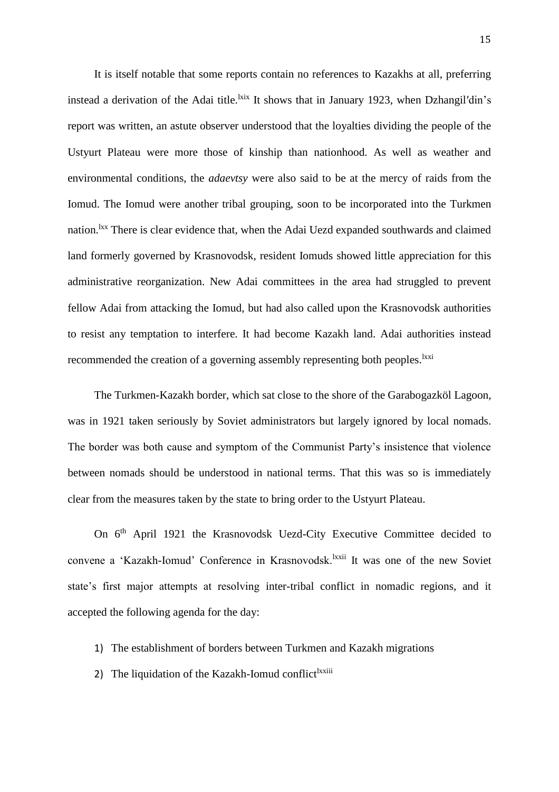It is itself notable that some reports contain no references to Kazakhs at all, preferring instead a derivation of the Adai title.<sup>kxx</sup> It shows that in January 1923, when Dzhangil'din's report was written, an astute observer understood that the loyalties dividing the people of the Ustyurt Plateau were more those of kinship than nationhood. As well as weather and environmental conditions, the *adaevtsy* were also said to be at the mercy of raids from the Iomud. The Iomud were another tribal grouping, soon to be incorporated into the Turkmen nation.<sup>lxx</sup> There is clear evidence that, when the Adai Uezd expanded southwards and claimed land formerly governed by Krasnovodsk, resident Iomuds showed little appreciation for this administrative reorganization. New Adai committees in the area had struggled to prevent fellow Adai from attacking the Iomud, but had also called upon the Krasnovodsk authorities to resist any temptation to interfere. It had become Kazakh land. Adai authorities instead recommended the creation of a governing assembly representing both peoples.<sup>1xxi</sup>

The Turkmen-Kazakh border, which sat close to the shore of the Garabogazköl Lagoon, was in 1921 taken seriously by Soviet administrators but largely ignored by local nomads. The border was both cause and symptom of the Communist Party's insistence that violence between nomads should be understood in national terms. That this was so is immediately clear from the measures taken by the state to bring order to the Ustyurt Plateau.

On 6<sup>th</sup> April 1921 the Krasnovodsk Uezd-City Executive Committee decided to convene a 'Kazakh-Iomud' Conference in Krasnovodsk.<sup>lxxii</sup> It was one of the new Soviet state's first major attempts at resolving inter-tribal conflict in nomadic regions, and it accepted the following agenda for the day:

- 1) The establishment of borders between Turkmen and Kazakh migrations
- 2) The liquidation of the Kazakh-Iomud conflict<sup>lxxiii</sup>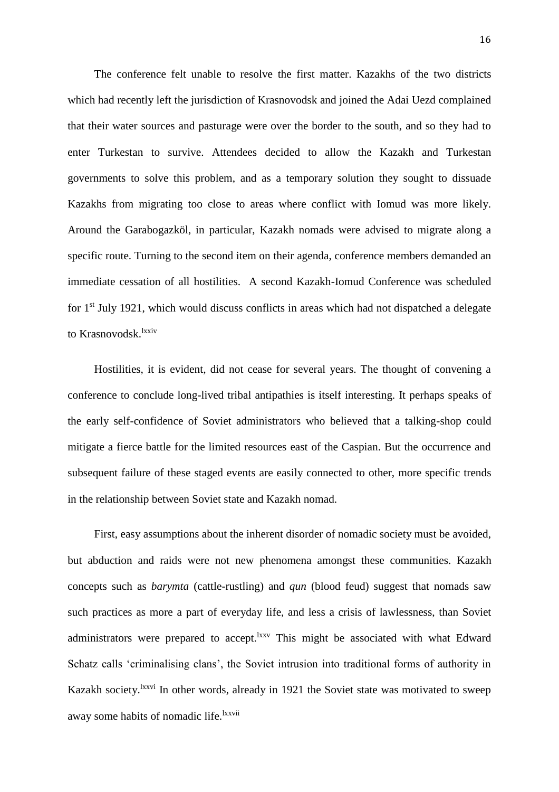The conference felt unable to resolve the first matter. Kazakhs of the two districts which had recently left the jurisdiction of Krasnovodsk and joined the Adai Uezd complained that their water sources and pasturage were over the border to the south, and so they had to enter Turkestan to survive. Attendees decided to allow the Kazakh and Turkestan governments to solve this problem, and as a temporary solution they sought to dissuade Kazakhs from migrating too close to areas where conflict with Iomud was more likely. Around the Garabogazköl, in particular, Kazakh nomads were advised to migrate along a specific route. Turning to the second item on their agenda, conference members demanded an immediate cessation of all hostilities. A second Kazakh-Iomud Conference was scheduled for  $1<sup>st</sup>$  July 1921, which would discuss conflicts in areas which had not dispatched a delegate to Krasnovodsk.<sup>lxxiv</sup>

Hostilities, it is evident, did not cease for several years. The thought of convening a conference to conclude long-lived tribal antipathies is itself interesting. It perhaps speaks of the early self-confidence of Soviet administrators who believed that a talking-shop could mitigate a fierce battle for the limited resources east of the Caspian. But the occurrence and subsequent failure of these staged events are easily connected to other, more specific trends in the relationship between Soviet state and Kazakh nomad.

First, easy assumptions about the inherent disorder of nomadic society must be avoided, but abduction and raids were not new phenomena amongst these communities. Kazakh concepts such as *barymta* (cattle-rustling) and *qun* (blood feud) suggest that nomads saw such practices as more a part of everyday life, and less a crisis of lawlessness, than Soviet administrators were prepared to accept.<sup>lxxv</sup> This might be associated with what Edward Schatz calls 'criminalising clans', the Soviet intrusion into traditional forms of authority in Kazakh society.<sup>lxxvi</sup> In other words, already in 1921 the Soviet state was motivated to sweep away some habits of nomadic life.<sup>lxxvii</sup>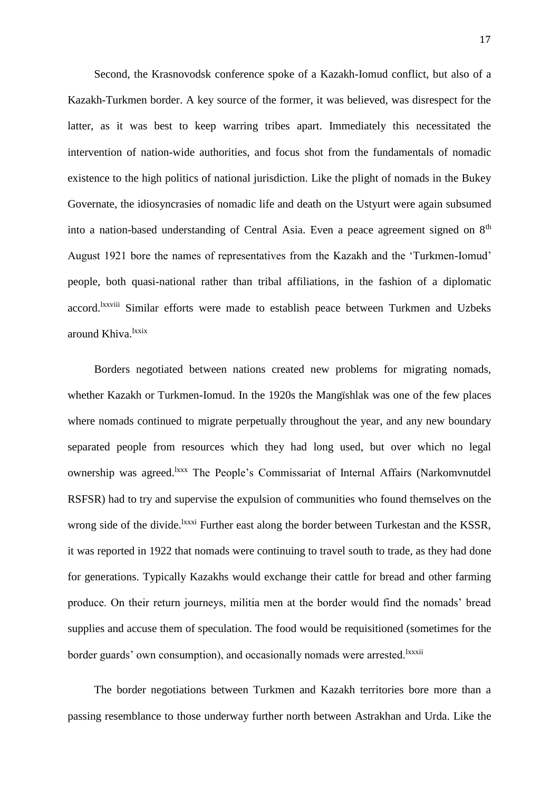Second, the Krasnovodsk conference spoke of a Kazakh-Iomud conflict, but also of a Kazakh-Turkmen border. A key source of the former, it was believed, was disrespect for the latter, as it was best to keep warring tribes apart. Immediately this necessitated the intervention of nation-wide authorities, and focus shot from the fundamentals of nomadic existence to the high politics of national jurisdiction. Like the plight of nomads in the Bukey Governate, the idiosyncrasies of nomadic life and death on the Ustyurt were again subsumed into a nation-based understanding of Central Asia. Even a peace agreement signed on 8<sup>th</sup> August 1921 bore the names of representatives from the Kazakh and the 'Turkmen-Iomud' people, both quasi-national rather than tribal affiliations, in the fashion of a diplomatic accord.<sup>Ixxviii</sup> Similar efforts were made to establish peace between Turkmen and Uzbeks around Khiva.<sup>lxxix</sup>

Borders negotiated between nations created new problems for migrating nomads, whether Kazakh or Turkmen-Iomud. In the 1920s the Mangïshlak was one of the few places where nomads continued to migrate perpetually throughout the year, and any new boundary separated people from resources which they had long used, but over which no legal ownership was agreed.<sup>lxxx</sup> The People's Commissariat of Internal Affairs (Narkomvnutdel RSFSR) had to try and supervise the expulsion of communities who found themselves on the wrong side of the divide.<sup>1xxxi</sup> Further east along the border between Turkestan and the KSSR, it was reported in 1922 that nomads were continuing to travel south to trade, as they had done for generations. Typically Kazakhs would exchange their cattle for bread and other farming produce. On their return journeys, militia men at the border would find the nomads' bread supplies and accuse them of speculation. The food would be requisitioned (sometimes for the border guards' own consumption), and occasionally nomads were arrested.<sup>lxxxii</sup>

The border negotiations between Turkmen and Kazakh territories bore more than a passing resemblance to those underway further north between Astrakhan and Urda. Like the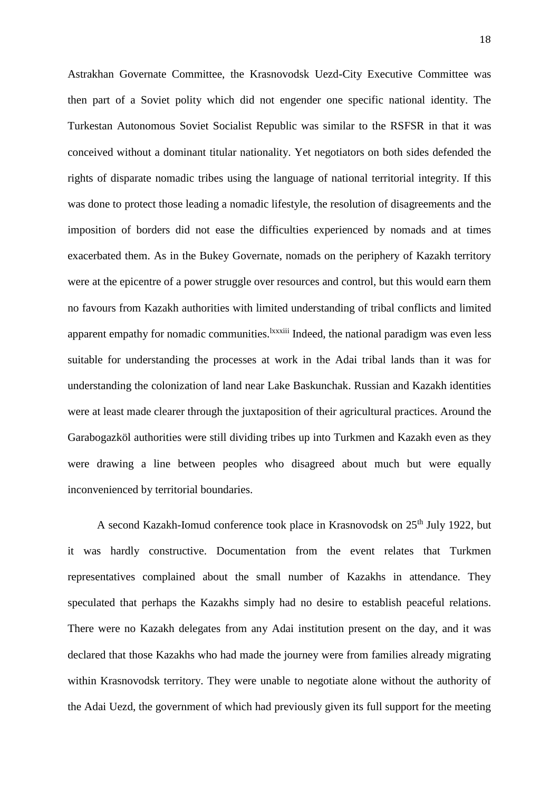Astrakhan Governate Committee, the Krasnovodsk Uezd-City Executive Committee was then part of a Soviet polity which did not engender one specific national identity. The Turkestan Autonomous Soviet Socialist Republic was similar to the RSFSR in that it was conceived without a dominant titular nationality. Yet negotiators on both sides defended the rights of disparate nomadic tribes using the language of national territorial integrity. If this was done to protect those leading a nomadic lifestyle, the resolution of disagreements and the imposition of borders did not ease the difficulties experienced by nomads and at times exacerbated them. As in the Bukey Governate, nomads on the periphery of Kazakh territory were at the epicentre of a power struggle over resources and control, but this would earn them no favours from Kazakh authorities with limited understanding of tribal conflicts and limited apparent empathy for nomadic communities.<sup>lxxxiii</sup> Indeed, the national paradigm was even less suitable for understanding the processes at work in the Adai tribal lands than it was for understanding the colonization of land near Lake Baskunchak. Russian and Kazakh identities were at least made clearer through the juxtaposition of their agricultural practices. Around the Garabogazköl authorities were still dividing tribes up into Turkmen and Kazakh even as they were drawing a line between peoples who disagreed about much but were equally inconvenienced by territorial boundaries.

A second Kazakh-Iomud conference took place in Krasnovodsk on 25<sup>th</sup> July 1922, but it was hardly constructive. Documentation from the event relates that Turkmen representatives complained about the small number of Kazakhs in attendance. They speculated that perhaps the Kazakhs simply had no desire to establish peaceful relations. There were no Kazakh delegates from any Adai institution present on the day, and it was declared that those Kazakhs who had made the journey were from families already migrating within Krasnovodsk territory. They were unable to negotiate alone without the authority of the Adai Uezd, the government of which had previously given its full support for the meeting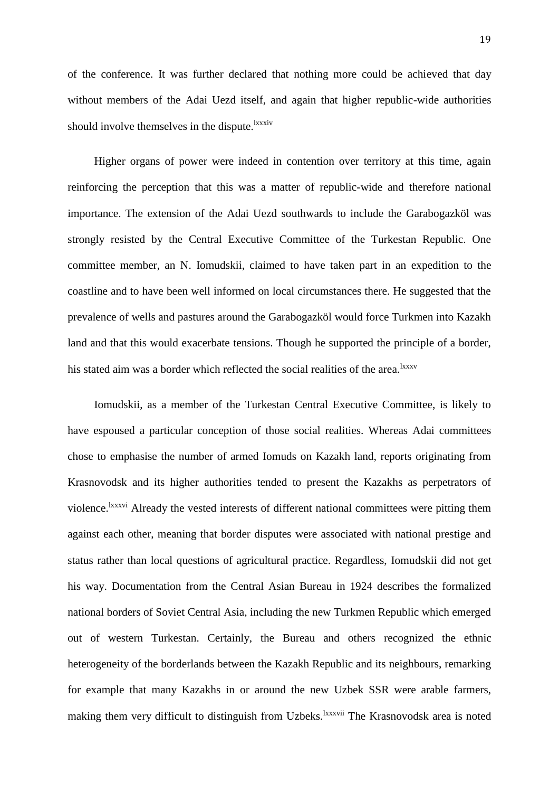of the conference. It was further declared that nothing more could be achieved that day without members of the Adai Uezd itself, and again that higher republic-wide authorities should involve themselves in the dispute.<sup>lxxxiv</sup>

Higher organs of power were indeed in contention over territory at this time, again reinforcing the perception that this was a matter of republic-wide and therefore national importance. The extension of the Adai Uezd southwards to include the Garabogazköl was strongly resisted by the Central Executive Committee of the Turkestan Republic. One committee member, an N. Iomudskii, claimed to have taken part in an expedition to the coastline and to have been well informed on local circumstances there. He suggested that the prevalence of wells and pastures around the Garabogazköl would force Turkmen into Kazakh land and that this would exacerbate tensions. Though he supported the principle of a border, his stated aim was a border which reflected the social realities of the area.<sup>lxxxv</sup>

Iomudskii, as a member of the Turkestan Central Executive Committee, is likely to have espoused a particular conception of those social realities. Whereas Adai committees chose to emphasise the number of armed Iomuds on Kazakh land, reports originating from Krasnovodsk and its higher authorities tended to present the Kazakhs as perpetrators of violence.<sup>1xxxvi</sup> Already the vested interests of different national committees were pitting them against each other, meaning that border disputes were associated with national prestige and status rather than local questions of agricultural practice. Regardless, Iomudskii did not get his way. Documentation from the Central Asian Bureau in 1924 describes the formalized national borders of Soviet Central Asia, including the new Turkmen Republic which emerged out of western Turkestan. Certainly, the Bureau and others recognized the ethnic heterogeneity of the borderlands between the Kazakh Republic and its neighbours, remarking for example that many Kazakhs in or around the new Uzbek SSR were arable farmers, making them very difficult to distinguish from Uzbeks.<sup>lxxxvii</sup> The Krasnovodsk area is noted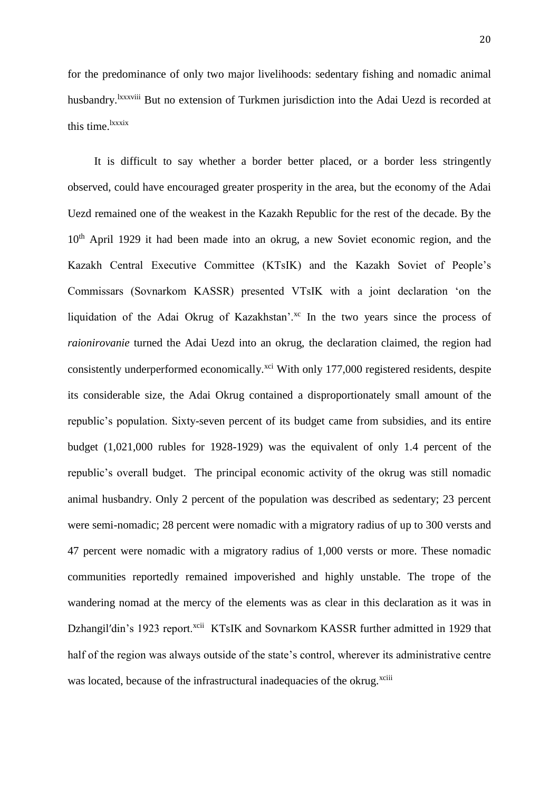for the predominance of only two major livelihoods: sedentary fishing and nomadic animal husbandry.<sup>1xxxviii</sup> But no extension of Turkmen jurisdiction into the Adai Uezd is recorded at this time.<sup>lxxxix</sup>

It is difficult to say whether a border better placed, or a border less stringently observed, could have encouraged greater prosperity in the area, but the economy of the Adai Uezd remained one of the weakest in the Kazakh Republic for the rest of the decade. By the 10<sup>th</sup> April 1929 it had been made into an okrug, a new Soviet economic region, and the Kazakh Central Executive Committee (KTsIK) and the Kazakh Soviet of People's Commissars (Sovnarkom KASSR) presented VTsIK with a joint declaration 'on the liquidation of the Adai Okrug of Kazakhstan'.<sup>xc</sup> In the two years since the process of *raionirovanie* turned the Adai Uezd into an okrug, the declaration claimed, the region had consistently underperformed economically.<sup>xci</sup> With only 177,000 registered residents, despite its considerable size, the Adai Okrug contained a disproportionately small amount of the republic's population. Sixty-seven percent of its budget came from subsidies, and its entire budget (1,021,000 rubles for 1928-1929) was the equivalent of only 1.4 percent of the republic's overall budget. The principal economic activity of the okrug was still nomadic animal husbandry. Only 2 percent of the population was described as sedentary; 23 percent were semi-nomadic; 28 percent were nomadic with a migratory radius of up to 300 versts and 47 percent were nomadic with a migratory radius of 1,000 versts or more. These nomadic communities reportedly remained impoverished and highly unstable. The trope of the wandering nomad at the mercy of the elements was as clear in this declaration as it was in Dzhangil'din's 1923 report.<sup>xcii</sup> KTsIK and Sovnarkom KASSR further admitted in 1929 that half of the region was always outside of the state's control, wherever its administrative centre was located, because of the infrastructural inadequacies of the okrug.<sup>xciii</sup>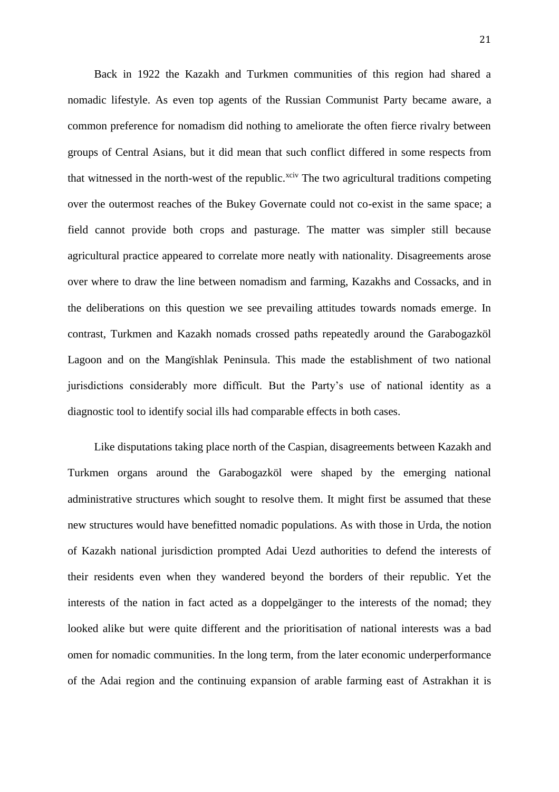Back in 1922 the Kazakh and Turkmen communities of this region had shared a nomadic lifestyle. As even top agents of the Russian Communist Party became aware, a common preference for nomadism did nothing to ameliorate the often fierce rivalry between groups of Central Asians, but it did mean that such conflict differed in some respects from that witnessed in the north-west of the republic.<sup>xciv</sup> The two agricultural traditions competing over the outermost reaches of the Bukey Governate could not co-exist in the same space; a field cannot provide both crops and pasturage. The matter was simpler still because agricultural practice appeared to correlate more neatly with nationality. Disagreements arose over where to draw the line between nomadism and farming, Kazakhs and Cossacks, and in the deliberations on this question we see prevailing attitudes towards nomads emerge. In contrast, Turkmen and Kazakh nomads crossed paths repeatedly around the Garabogazköl Lagoon and on the Mangïshlak Peninsula. This made the establishment of two national jurisdictions considerably more difficult. But the Party's use of national identity as a diagnostic tool to identify social ills had comparable effects in both cases.

Like disputations taking place north of the Caspian, disagreements between Kazakh and Turkmen organs around the Garabogazköl were shaped by the emerging national administrative structures which sought to resolve them. It might first be assumed that these new structures would have benefitted nomadic populations. As with those in Urda, the notion of Kazakh national jurisdiction prompted Adai Uezd authorities to defend the interests of their residents even when they wandered beyond the borders of their republic. Yet the interests of the nation in fact acted as a doppelgänger to the interests of the nomad; they looked alike but were quite different and the prioritisation of national interests was a bad omen for nomadic communities. In the long term, from the later economic underperformance of the Adai region and the continuing expansion of arable farming east of Astrakhan it is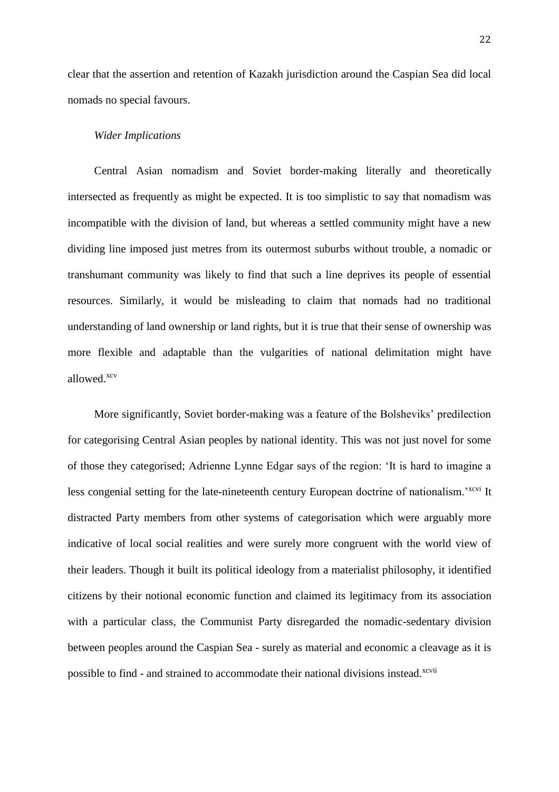clear that the assertion and retention of Kazakh jurisdiction around the Caspian Sea did local nomads no special favours.

## *Wider Implications*

Central Asian nomadism and Soviet border-making literally and theoretically intersected as frequently as might be expected. It is too simplistic to say that nomadism was incompatible with the division of land, but whereas a settled community might have a new dividing line imposed just metres from its outermost suburbs without trouble, a nomadic or transhumant community was likely to find that such a line deprives its people of essential resources. Similarly, it would be misleading to claim that nomads had no traditional understanding of land ownership or land rights, but it is true that their sense of ownership was more flexible and adaptable than the vulgarities of national delimitation might have allowed.xcv

More significantly, Soviet border-making was a feature of the Bolsheviks' predilection for categorising Central Asian peoples by national identity. This was not just novel for some of those they categorised; Adrienne Lynne Edgar says of the region: 'It is hard to imagine a less congenial setting for the late-nineteenth century European doctrine of nationalism.<sup>'xcvi</sup> It distracted Party members from other systems of categorisation which were arguably more indicative of local social realities and were surely more congruent with the world view of their leaders. Though it built its political ideology from a materialist philosophy, it identified citizens by their notional economic function and claimed its legitimacy from its association with a particular class, the Communist Party disregarded the nomadic-sedentary division between peoples around the Caspian Sea - surely as material and economic a cleavage as it is possible to find - and strained to accommodate their national divisions instead.<sup>xcvii</sup>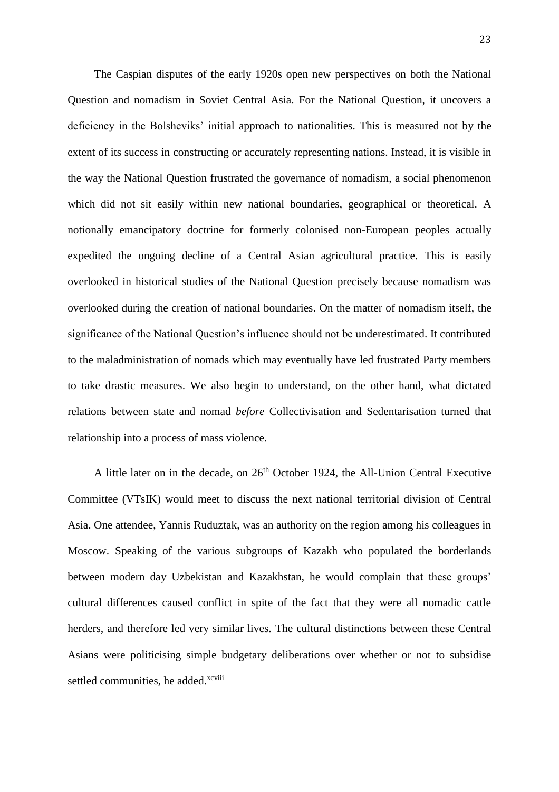The Caspian disputes of the early 1920s open new perspectives on both the National Question and nomadism in Soviet Central Asia. For the National Question, it uncovers a deficiency in the Bolsheviks' initial approach to nationalities. This is measured not by the extent of its success in constructing or accurately representing nations. Instead, it is visible in the way the National Question frustrated the governance of nomadism, a social phenomenon which did not sit easily within new national boundaries, geographical or theoretical. A notionally emancipatory doctrine for formerly colonised non-European peoples actually expedited the ongoing decline of a Central Asian agricultural practice. This is easily overlooked in historical studies of the National Question precisely because nomadism was overlooked during the creation of national boundaries. On the matter of nomadism itself, the significance of the National Question's influence should not be underestimated. It contributed to the maladministration of nomads which may eventually have led frustrated Party members to take drastic measures. We also begin to understand, on the other hand, what dictated relations between state and nomad *before* Collectivisation and Sedentarisation turned that relationship into a process of mass violence.

A little later on in the decade, on 26<sup>th</sup> October 1924, the All-Union Central Executive Committee (VTsIK) would meet to discuss the next national territorial division of Central Asia. One attendee, Yannis Ruduztak, was an authority on the region among his colleagues in Moscow. Speaking of the various subgroups of Kazakh who populated the borderlands between modern day Uzbekistan and Kazakhstan, he would complain that these groups' cultural differences caused conflict in spite of the fact that they were all nomadic cattle herders, and therefore led very similar lives. The cultural distinctions between these Central Asians were politicising simple budgetary deliberations over whether or not to subsidise settled communities, he added.<sup>xcviii</sup>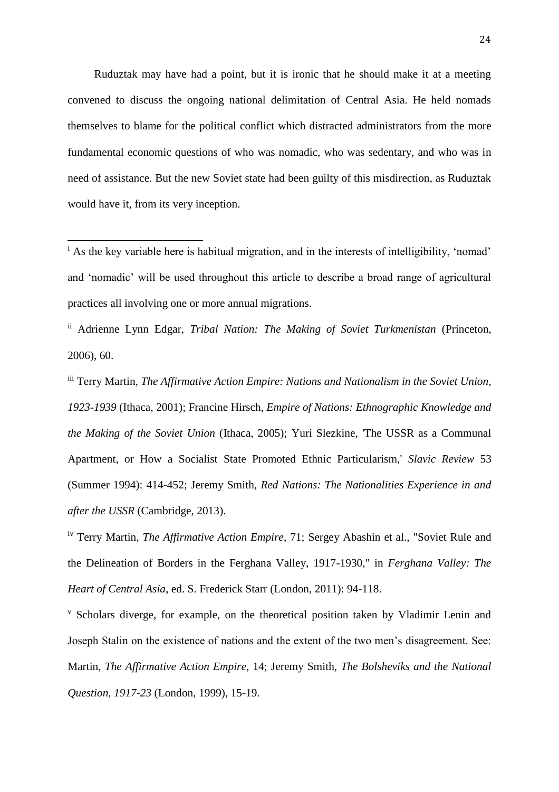Ruduztak may have had a point, but it is ironic that he should make it at a meeting convened to discuss the ongoing national delimitation of Central Asia. He held nomads themselves to blame for the political conflict which distracted administrators from the more fundamental economic questions of who was nomadic, who was sedentary, and who was in need of assistance. But the new Soviet state had been guilty of this misdirection, as Ruduztak would have it, from its very inception.

 $\overline{\phantom{a}}$ 

iii Terry Martin, *The Affirmative Action Empire: Nations and Nationalism in the Soviet Union, 1923-1939* (Ithaca, 2001); Francine Hirsch, *Empire of Nations: Ethnographic Knowledge and the Making of the Soviet Union* (Ithaca, 2005); Yuri Slezkine, 'The USSR as a Communal Apartment, or How a Socialist State Promoted Ethnic Particularism,' *Slavic Review* 53 (Summer 1994): 414-452; Jeremy Smith, *Red Nations: The Nationalities Experience in and after the USSR* (Cambridge, 2013).

<sup>v</sup> Scholars diverge, for example, on the theoretical position taken by Vladimir Lenin and Joseph Stalin on the existence of nations and the extent of the two men's disagreement. See: Martin, *The Affirmative Action Empire*, 14; Jeremy Smith, *The Bolsheviks and the National Question, 1917-23* (London, 1999), 15-19.

<sup>&</sup>lt;sup>i</sup> As the key variable here is habitual migration, and in the interests of intelligibility, 'nomad' and 'nomadic' will be used throughout this article to describe a broad range of agricultural practices all involving one or more annual migrations.

ii Adrienne Lynn Edgar, *Tribal Nation: The Making of Soviet Turkmenistan* (Princeton, 2006), 60.

iv Terry Martin, *The Affirmative Action Empire*, 71; Sergey Abashin et al., "Soviet Rule and the Delineation of Borders in the Ferghana Valley, 1917-1930," in *Ferghana Valley: The Heart of Central Asia*, ed. S. Frederick Starr (London, 2011): 94-118.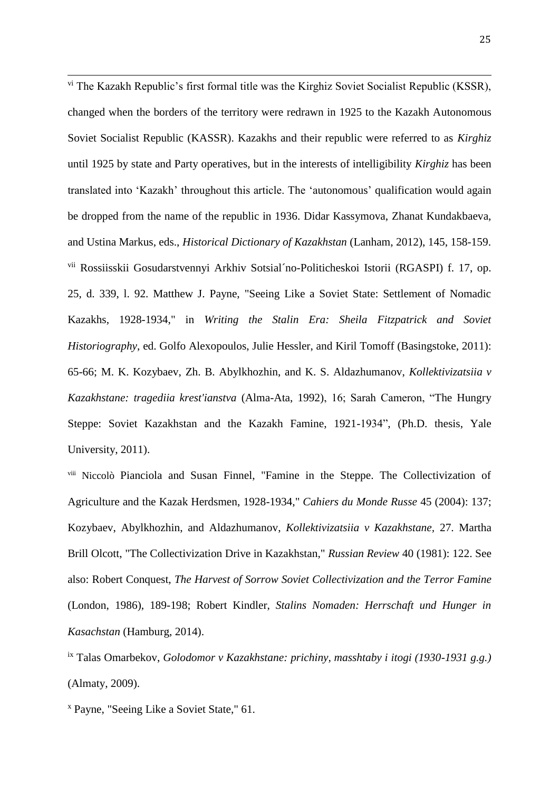$\overline{a}$ <sup>vi</sup> The Kazakh Republic's first formal title was the Kirghiz Soviet Socialist Republic (KSSR), changed when the borders of the territory were redrawn in 1925 to the Kazakh Autonomous Soviet Socialist Republic (KASSR). Kazakhs and their republic were referred to as *Kirghiz* until 1925 by state and Party operatives, but in the interests of intelligibility *Kirghiz* has been translated into 'Kazakh' throughout this article. The 'autonomous' qualification would again be dropped from the name of the republic in 1936. Didar Kassymova, Zhanat Kundakbaeva, and Ustina Markus, eds., *Historical Dictionary of Kazakhstan* (Lanham, 2012), 145, 158-159. vii Rossiisskii Gosudarstvennyi Arkhiv Sotsial´no-Politicheskoi Istorii (RGASPI) f. 17, op. 25, d. 339, l. 92. Matthew J. Payne, "Seeing Like a Soviet State: Settlement of Nomadic Kazakhs, 1928-1934," in *Writing the Stalin Era: Sheila Fitzpatrick and Soviet Historiography*, ed. Golfo Alexopoulos, Julie Hessler, and Kiril Tomoff (Basingstoke, 2011): 65-66; M. K. Kozybaev, Zh. B. Abylkhozhin, and K. S. Aldazhumanov, *Kollektivizatsiia v Kazakhstane: tragediia krest'ianstva* (Alma-Ata, 1992), 16; Sarah Cameron, "The Hungry Steppe: Soviet Kazakhstan and the Kazakh Famine, 1921-1934", (Ph.D. thesis, Yale University, 2011).

viii Niccolò Pianciola and Susan Finnel, "Famine in the Steppe. The Collectivization of Agriculture and the Kazak Herdsmen, 1928-1934," *Cahiers du Monde Russe* 45 (2004): 137; Kozybaev, Abylkhozhin, and Aldazhumanov, *Kollektivizatsiia v Kazakhstane,* 27. Martha Brill Olcott, "The Collectivization Drive in Kazakhstan," *Russian Review* 40 (1981): 122. See also: Robert Conquest, *The Harvest of Sorrow Soviet Collectivization and the Terror Famine* (London, 1986), 189-198; Robert Kindler, *Stalins Nomaden: Herrschaft und Hunger in Kasachstan* (Hamburg, 2014).

ix Talas Omarbekov, *Golodomor v Kazakhstane: prichiny, masshtaby i itogi (1930-1931 g.g.)* (Almaty, 2009).

<sup>x</sup> Payne, "Seeing Like a Soviet State," 61.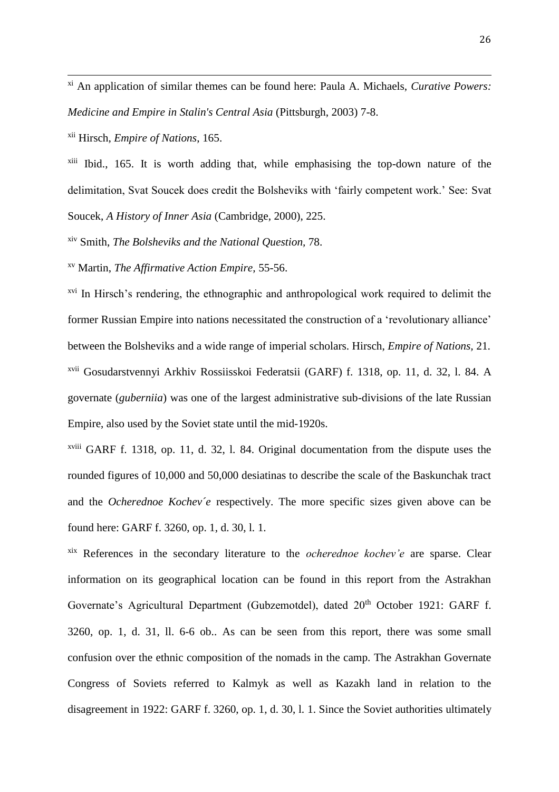xi An application of similar themes can be found here: Paula A. Michaels, *Curative Powers: Medicine and Empire in Stalin's Central Asia* (Pittsburgh, 2003) 7-8.

xii Hirsch, *Empire of Nations*, 165.

 $\overline{a}$ 

xiii Ibid., 165. It is worth adding that, while emphasising the top-down nature of the delimitation, Svat Soucek does credit the Bolsheviks with 'fairly competent work.' See: Svat Soucek, *A History of Inner Asia* (Cambridge, 2000), 225.

xiv Smith, *The Bolsheviks and the National Question,* 78.

xv Martin, *The Affirmative Action Empire,* 55-56.

<sup>xvi</sup> In Hirsch's rendering, the ethnographic and anthropological work required to delimit the former Russian Empire into nations necessitated the construction of a 'revolutionary alliance' between the Bolsheviks and a wide range of imperial scholars. Hirsch, *Empire of Nations,* 21. xvii Gosudarstvennyi Arkhiv Rossiisskoi Federatsii (GARF) f. 1318, op. 11, d. 32, l. 84. A governate (*guberniia*) was one of the largest administrative sub-divisions of the late Russian Empire, also used by the Soviet state until the mid-1920s.

xviii GARF f. 1318, op. 11, d. 32, l. 84. Original documentation from the dispute uses the rounded figures of 10,000 and 50,000 desiatinas to describe the scale of the Baskunchak tract and the *Ocherednoe Kochev´e* respectively. The more specific sizes given above can be found here: GARF f. 3260, op. 1, d. 30, l. 1.

xix References in the secondary literature to the *ocherednoe kochev'e* are sparse. Clear information on its geographical location can be found in this report from the Astrakhan Governate's Agricultural Department (Gubzemotdel), dated  $20<sup>th</sup>$  October 1921: GARF f. 3260, op. 1, d. 31, ll. 6-6 ob.. As can be seen from this report, there was some small confusion over the ethnic composition of the nomads in the camp. The Astrakhan Governate Congress of Soviets referred to Kalmyk as well as Kazakh land in relation to the disagreement in 1922: GARF f. 3260, op. 1, d. 30, l. 1. Since the Soviet authorities ultimately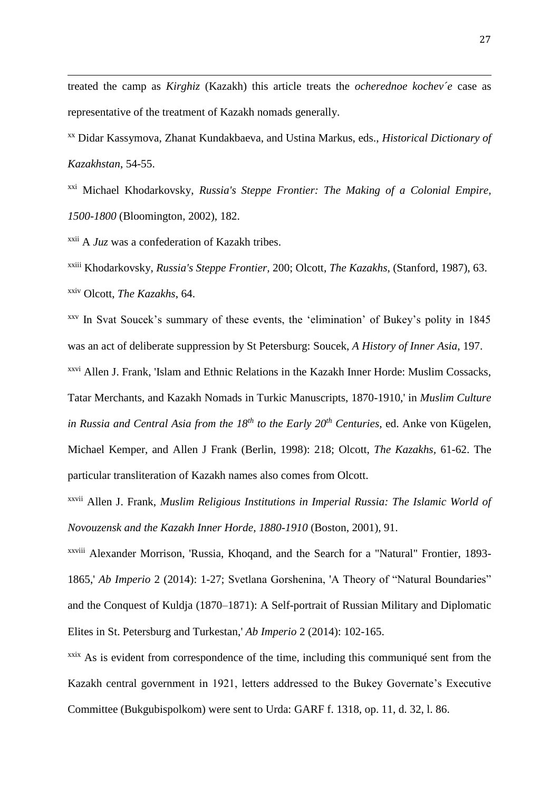treated the camp as *Kirghiz* (Kazakh) this article treats the *ocherednoe kochev´e* case as representative of the treatment of Kazakh nomads generally.

xx Didar Kassymova, Zhanat Kundakbaeva, and Ustina Markus, eds., *Historical Dictionary of Kazakhstan*, 54-55.

xxi Michael Khodarkovsky, *Russia's Steppe Frontier: The Making of a Colonial Empire, 1500-1800* (Bloomington, 2002), 182.

xxii A *Juz* was a confederation of Kazakh tribes.

 $\overline{a}$ 

xxiii Khodarkovsky, *Russia's Steppe Frontier,* 200; Olcott, *The Kazakhs*, (Stanford, 1987), 63. xxiv Olcott, *The Kazakhs*, 64.

xxv In Svat Soucek's summary of these events, the 'elimination' of Bukey's polity in 1845 was an act of deliberate suppression by St Petersburg: Soucek, *A History of Inner Asia*, 197.

xxvi Allen J. Frank, 'Islam and Ethnic Relations in the Kazakh Inner Horde: Muslim Cossacks, Tatar Merchants, and Kazakh Nomads in Turkic Manuscripts, 1870-1910,' in *Muslim Culture in Russia and Central Asia from the 18th to the Early 20th Centuries*, ed. Anke von Kügelen, Michael Kemper, and Allen J Frank (Berlin, 1998): 218; Olcott, *The Kazakhs,* 61-62. The particular transliteration of Kazakh names also comes from Olcott.

xxvii Allen J. Frank, *Muslim Religious Institutions in Imperial Russia: The Islamic World of Novouzensk and the Kazakh Inner Horde, 1880-1910* (Boston, 2001), 91.

xxviii Alexander Morrison, 'Russia, Khoqand, and the Search for a "Natural" Frontier, 1893- 1865,' *Ab Imperio* 2 (2014): 1-27; Svetlana Gorshenina, 'A Theory of "Natural Boundaries" and the Conquest of Kuldja (1870–1871): A Self-portrait of Russian Military and Diplomatic Elites in St. Petersburg and Turkestan,' *Ab Imperio* 2 (2014): 102-165.

<sup>xxix</sup> As is evident from correspondence of the time, including this communiqué sent from the Kazakh central government in 1921, letters addressed to the Bukey Governate's Executive Committee (Bukgubispolkom) were sent to Urda: GARF f. 1318, op. 11, d. 32, l. 86.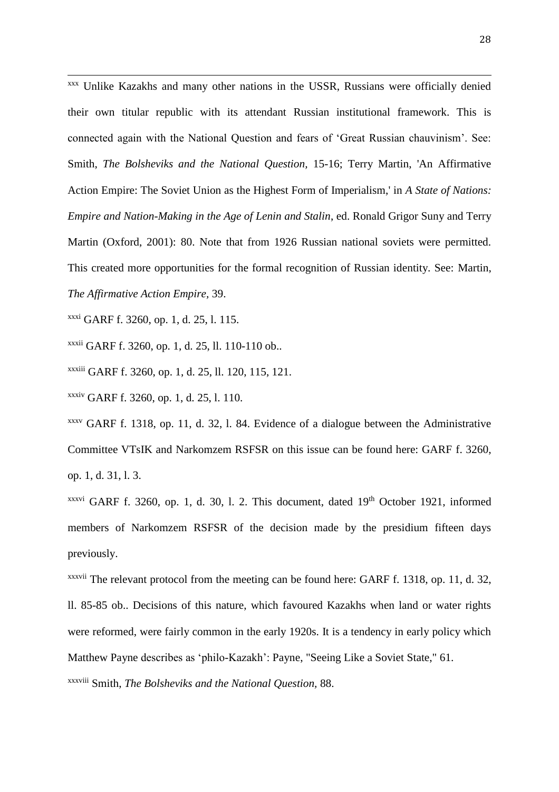xxx Unlike Kazakhs and many other nations in the USSR, Russians were officially denied their own titular republic with its attendant Russian institutional framework. This is connected again with the National Question and fears of 'Great Russian chauvinism'. See: Smith, *The Bolsheviks and the National Question,* 15-16; Terry Martin, 'An Affirmative Action Empire: The Soviet Union as the Highest Form of Imperialism,' in *A State of Nations: Empire and Nation-Making in the Age of Lenin and Stalin*, ed. Ronald Grigor Suny and Terry Martin (Oxford, 2001): 80. Note that from 1926 Russian national soviets were permitted. This created more opportunities for the formal recognition of Russian identity. See: Martin, *The Affirmative Action Empire,* 39.

xxxi GARF f. 3260, op. 1, d. 25, l. 115.

 $\overline{a}$ 

xxxii GARF f. 3260, op. 1, d. 25, ll. 110-110 ob..

xxxiii GARF f. 3260, op. 1, d. 25, ll. 120, 115, 121.

xxxiv GARF f. 3260, op. 1, d. 25, l. 110.

xxxv GARF f. 1318, op. 11, d. 32, l. 84. Evidence of a dialogue between the Administrative Committee VTsIK and Narkomzem RSFSR on this issue can be found here: GARF f. 3260, op. 1, d. 31, l. 3.

xxxvi GARF f. 3260, op. 1, d. 30, l. 2. This document, dated 19th October 1921, informed members of Narkomzem RSFSR of the decision made by the presidium fifteen days previously.

<sup>xxxvii</sup> The relevant protocol from the meeting can be found here: GARF f. 1318, op. 11, d. 32, ll. 85-85 ob.. Decisions of this nature, which favoured Kazakhs when land or water rights were reformed, were fairly common in the early 1920s. It is a tendency in early policy which Matthew Payne describes as 'philo-Kazakh': Payne, "Seeing Like a Soviet State," 61. xxxviii Smith, *The Bolsheviks and the National Question,* 88.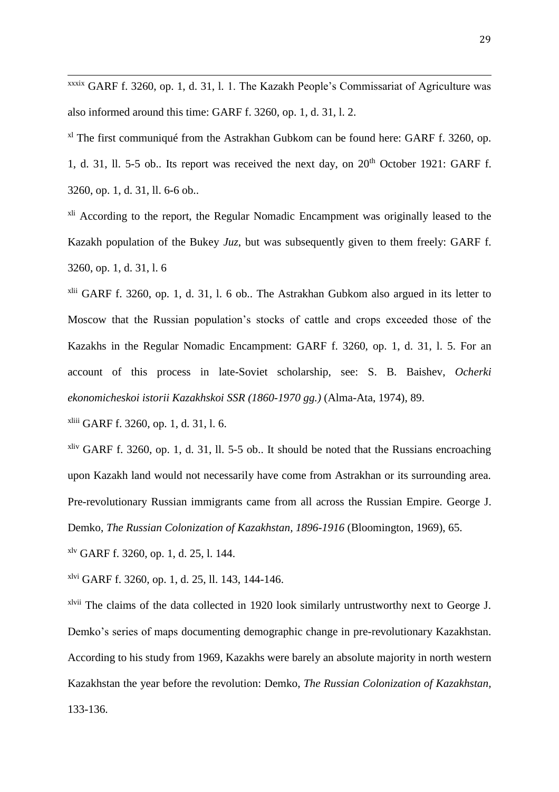xxxix GARF f. 3260, op. 1, d. 31, l. 1. The Kazakh People's Commissariat of Agriculture was also informed around this time: GARF f. 3260, op. 1, d. 31, l. 2.

<sup>xl</sup> The first communiqué from the Astrakhan Gubkom can be found here: GARF f. 3260, op. 1, d. 31, ll. 5-5 ob.. Its report was received the next day, on  $20<sup>th</sup>$  October 1921: GARF f. 3260, op. 1, d. 31, ll. 6-6 ob..

<sup>xli</sup> According to the report, the Regular Nomadic Encampment was originally leased to the Kazakh population of the Bukey *Juz*, but was subsequently given to them freely: GARF f. 3260, op. 1, d. 31, l. 6

xlii GARF f. 3260, op. 1, d. 31, l. 6 ob.. The Astrakhan Gubkom also argued in its letter to Moscow that the Russian population's stocks of cattle and crops exceeded those of the Kazakhs in the Regular Nomadic Encampment: GARF f. 3260, op. 1, d. 31, l. 5. For an account of this process in late-Soviet scholarship, see: S. B. Baishev, *Ocherki ekonomicheskoi istorii Kazakhskoi SSR (1860-1970 gg.)* (Alma-Ata, 1974), 89.

xliii GARF f. 3260, op. 1, d. 31, l. 6.

 $\overline{a}$ 

 $x$ liv GARF f. 3260, op. 1, d. 31, ll. 5-5 ob.. It should be noted that the Russians encroaching upon Kazakh land would not necessarily have come from Astrakhan or its surrounding area. Pre-revolutionary Russian immigrants came from all across the Russian Empire. George J. Demko, *The Russian Colonization of Kazakhstan, 1896-1916* (Bloomington, 1969), 65.

 $x^{\text{kv}}$  GARF f. 3260, op. 1, d. 25, l. 144.

xlvi GARF f. 3260, op. 1, d. 25, ll. 143, 144-146.

xlvii The claims of the data collected in 1920 look similarly untrustworthy next to George J. Demko's series of maps documenting demographic change in pre-revolutionary Kazakhstan. According to his study from 1969, Kazakhs were barely an absolute majority in north western Kazakhstan the year before the revolution: Demko, *The Russian Colonization of Kazakhstan,* 133-136.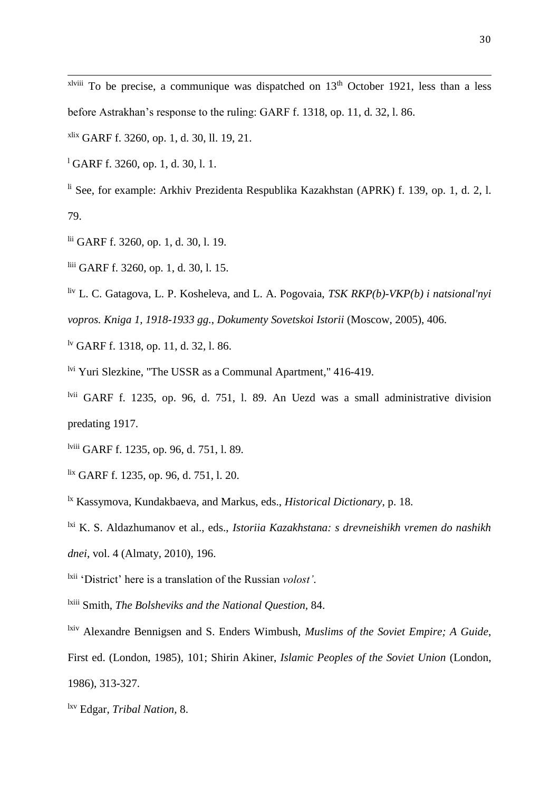$x^{\text{lviii}}$  To be precise, a communique was dispatched on  $13^{\text{th}}$  October 1921, less than a less before Astrakhan's response to the ruling: GARF f. 1318, op. 11, d. 32, l. 86.

xlix GARF f. 3260, op. 1, d. 30, ll. 19, 21.

<sup>1</sup> GARF f. 3260, op. 1, d. 30, l. 1.

 $\overline{a}$ 

li See, for example: Arkhiv Prezidenta Respublika Kazakhstan (APRK) f. 139, op. 1, d. 2, l. 79.

- lii GARF f. 3260, op. 1, d. 30, l. 19.
- liii GARF f. 3260, op. 1, d. 30, l. 15.
- liv L. C. Gatagova, L. P. Kosheleva, and L. A. Pogovaia, *TSK RKP(b)-VKP(b) i natsional'nyi*

*vopros. Kniga 1, 1918-1933 gg.*, *Dokumenty Sovetskoi Istorii* (Moscow, 2005), 406.

- lv GARF f. 1318, op. 11, d. 32, l. 86.
- lvi Yuri Slezkine, "The USSR as a Communal Apartment," 416-419.
- lvii GARF f. 1235, op. 96, d. 751, l. 89. An Uezd was a small administrative division predating 1917.
- lviii GARF f. 1235, op. 96, d. 751, l. 89.
- lix GARF f. 1235, op. 96, d. 751, l. 20.

lx Kassymova, Kundakbaeva, and Markus, eds., *Historical Dictionary,* p. 18.

lxi K. S. Aldazhumanov et al., eds., *Istoriia Kazakhstana: s drevneishikh vremen do nashikh dnei*, vol. 4 (Almaty, 2010), 196.

- lxii 'District' here is a translation of the Russian *volost'*.
- lxiii Smith, *The Bolsheviks and the National Question,* 84.
- lxiv Alexandre Bennigsen and S. Enders Wimbush, *Muslims of the Soviet Empire; A Guide*, First ed. (London, 1985), 101; Shirin Akiner, *Islamic Peoples of the Soviet Union* (London, 1986), 313-327.

lxv Edgar, *Tribal Nation,* 8.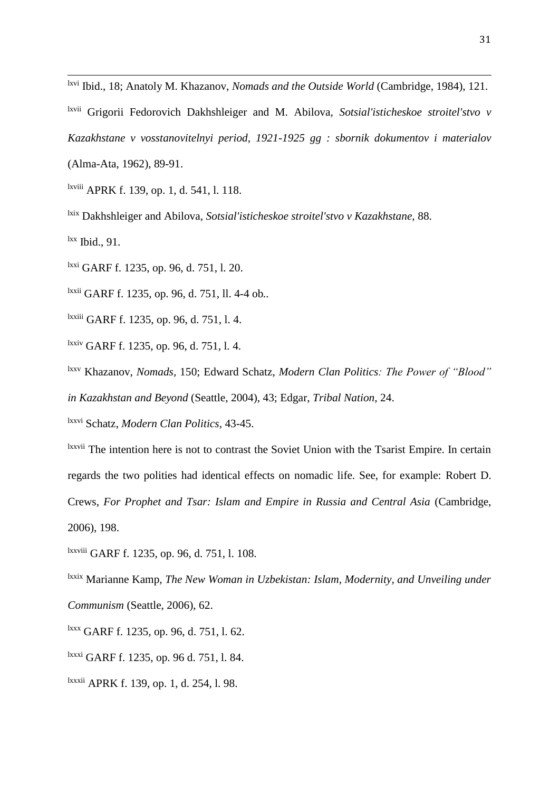lxvi Ibid., 18; Anatoly M. Khazanov, *Nomads and the Outside World* (Cambridge, 1984), 121.

lxvii Grigorii Fedorovich Dakhshleiger and M. Abilova, *Sotsial'isticheskoe stroitel'stvo v* 

*Kazakhstane v vosstanovitelnyi period, 1921-1925 gg : sbornik dokumentov i materialov*

(Alma-Ata, 1962), 89-91.

lxviii APRK f. 139, op. 1, d. 541, l. 118.

lxix Dakhshleiger and Abilova, *Sotsial'isticheskoe stroitel'stvo v Kazakhstane,* 88.

 $lxx$  Ibid., 91.

 $\overline{a}$ 

lxxi GARF f. 1235, op. 96, d. 751, l. 20.

lxxii GARF f. 1235, op. 96, d. 751, ll. 4-4 ob*..*

lxxiii GARF f. 1235, op. 96, d. 751, l. 4.

lxxiv GARF f. 1235, op. 96, d. 751, l. 4.

lxxv Khazanov, *Nomads,* 150; Edward Schatz, *Modern Clan Politics: The Power of "Blood" in Kazakhstan and Beyond* (Seattle, 2004), 43; Edgar, *Tribal Nation*, 24.

lxxvi Schatz, *Modern Clan Politics,* 43-45.

lxxvii The intention here is not to contrast the Soviet Union with the Tsarist Empire. In certain regards the two polities had identical effects on nomadic life. See, for example: Robert D. Crews, *For Prophet and Tsar: Islam and Empire in Russia and Central Asia* (Cambridge, 2006), 198.

lxxviii GARF f. 1235, op. 96, d. 751, l. 108.

lxxix Marianne Kamp, *The New Woman in Uzbekistan: Islam, Modernity, and Unveiling under Communism* (Seattle, 2006), 62.

lxxx GARF f. 1235, op. 96, d. 751, l. 62.

lxxxi GARF f. 1235, op. 96 d. 751, l. 84.

lxxxii APRK f. 139, op. 1, d. 254, l. 98.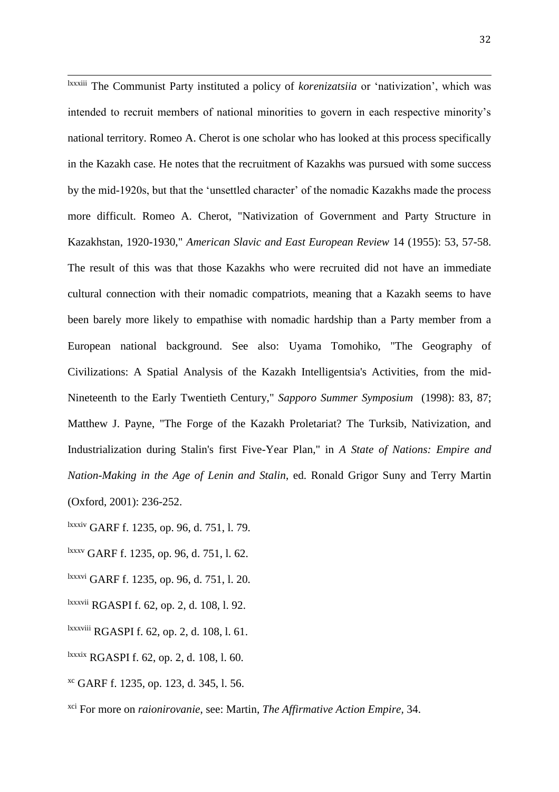$\overline{a}$ lxxxiii The Communist Party instituted a policy of *korenizatsiia* or 'nativization', which was intended to recruit members of national minorities to govern in each respective minority's national territory. Romeo A. Cherot is one scholar who has looked at this process specifically in the Kazakh case. He notes that the recruitment of Kazakhs was pursued with some success by the mid-1920s, but that the 'unsettled character' of the nomadic Kazakhs made the process more difficult. Romeo A. Cherot, "Nativization of Government and Party Structure in Kazakhstan, 1920-1930," *American Slavic and East European Review* 14 (1955): 53, 57-58. The result of this was that those Kazakhs who were recruited did not have an immediate cultural connection with their nomadic compatriots, meaning that a Kazakh seems to have been barely more likely to empathise with nomadic hardship than a Party member from a European national background. See also: Uyama Tomohiko, "The Geography of Civilizations: A Spatial Analysis of the Kazakh Intelligentsia's Activities, from the mid-Nineteenth to the Early Twentieth Century," *Sapporo Summer Symposium* (1998): 83, 87; Matthew J. Payne, "The Forge of the Kazakh Proletariat? The Turksib, Nativization, and Industrialization during Stalin's first Five-Year Plan," in *A State of Nations: Empire and Nation-Making in the Age of Lenin and Stalin*, ed. Ronald Grigor Suny and Terry Martin (Oxford, 2001): 236-252.

lxxxiv GARF f. 1235, op. 96, d. 751, l. 79.

- lxxxv GARF f. 1235, op. 96, d. 751, l. 62.
- lxxxvi GARF f. 1235, op. 96, d. 751, l. 20.
- lxxxvii RGASPI f. 62, op. 2, d. 108, l. 92.
- lxxxviii RGASPI f. 62, op. 2, d. 108, l. 61.
- lxxxix RGASPI f. 62, op. 2, d. 108, l. 60.
- xc GARF f. 1235, op. 123, d. 345, l. 56.
- xci For more on *raionirovanie*, see: Martin, *The Affirmative Action Empire,* 34.